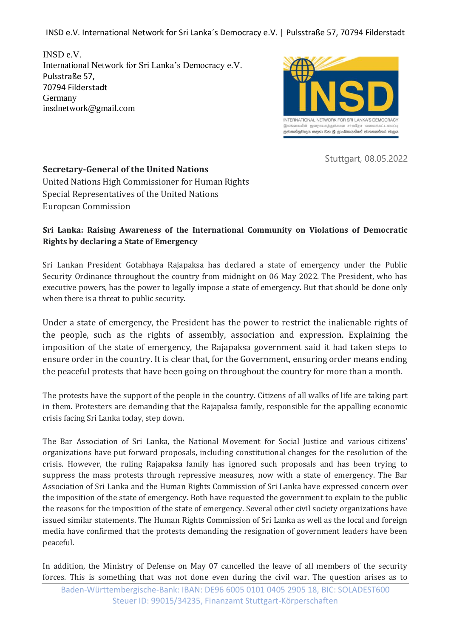INSD e.V. International Network for Sri Lanka's Democracy e.V. Pulsstraße 57, 70794 Filderstadt Germany insdnetwork@gmail.com



Stuttgart, 08.05.2022

## **Secretary-General of the United Nations**

United Nations High Commissioner for Human Rights Special Representatives of the United Nations European Commission

## **Sri Lanka: Raising Awareness of the International Community on Violations of Democratic Rights by declaring a State of Emergency**

Sri Lankan President Gotabhaya Rajapaksa has declared a state of emergency under the Public Security Ordinance throughout the country from midnight on 06 May 2022. The President, who has executive powers, has the power to legally impose a state of emergency. But that should be done only when there is a threat to public security.

Under a state of emergency, the President has the power to restrict the inalienable rights of the people, such as the rights of assembly, association and expression. Explaining the imposition of the state of emergency, the Rajapaksa government said it had taken steps to ensure order in the country. It is clear that, for the Government, ensuring order means ending the peaceful protests that have been going on throughout the country for more than a month.

The protests have the support of the people in the country. Citizens of all walks of life are taking part in them. Protesters are demanding that the Rajapaksa family, responsible for the appalling economic crisis facing Sri Lanka today, step down.

The Bar Association of Sri Lanka, the National Movement for Social Justice and various citizens' organizations have put forward proposals, including constitutional changes for the resolution of the crisis. However, the ruling Rajapaksa family has ignored such proposals and has been trying to suppress the mass protests through repressive measures, now with a state of emergency. The Bar Association of Sri Lanka and the Human Rights Commission of Sri Lanka have expressed concern over the imposition of the state of emergency. Both have requested the government to explain to the public the reasons for the imposition of the state of emergency. Several other civil society organizations have issued similar statements. The Human Rights Commission of Sri Lanka as well as the local and foreign media have confirmed that the protests demanding the resignation of government leaders have been peaceful.

In addition, the Ministry of Defense on May 07 cancelled the leave of all members of the security forces. This is something that was not done even during the civil war. The question arises as to